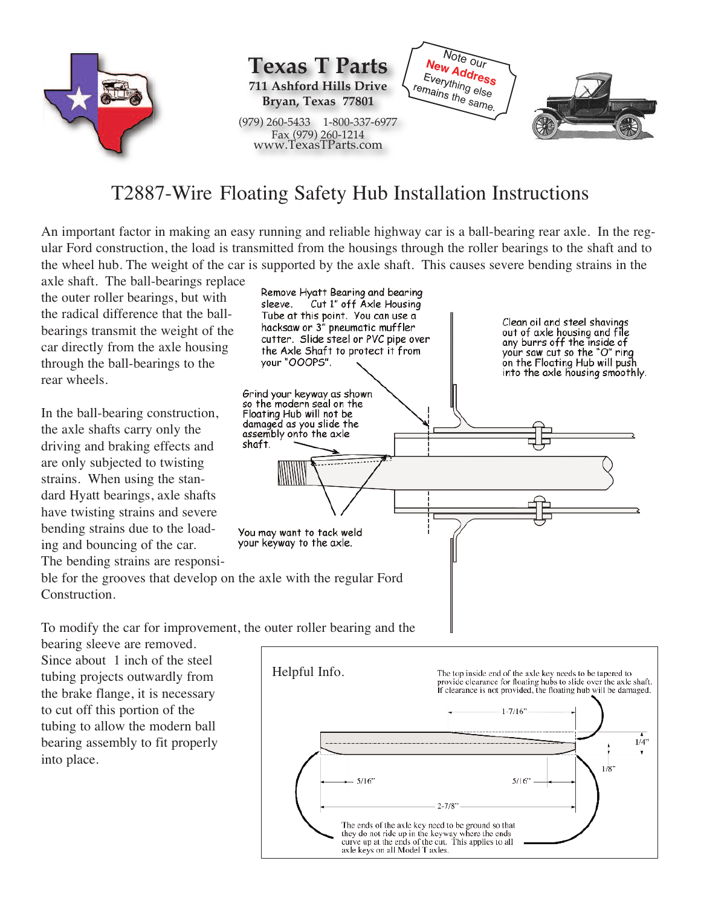

## T2887-Wire Floating Safety Hub Installation Instructions

An important factor in making an easy running and reliable highway car is a ball-bearing rear axle. In the regular Ford construction, the load is transmitted from the housings through the roller bearings to the shaft and to the wheel hub. The weight of the car is supported by the axle shaft. This causes severe bending strains in the

axle shaft. The ball-bearings replace the outer roller bearings, but with the radical difference that the ballbearings transmit the weight of the car directly from the axle housing through the ball-bearings to the rear wheels.

In the ball-bearing construction, the axle shafts carry only the driving and braking effects and are only subjected to twisting strains. When using the standard Hyatt bearings, axle shafts have twisting strains and severe bending strains due to the loading and bouncing of the car. The bending strains are responsi-



To modify the car for improvement, the outer roller bearing and the

bearing sleeve are removed. Since about 1 inch of the steel tubing projects outwardly from the brake flange, it is necessary to cut off this portion of the tubing to allow the modern ball bearing assembly to fit properly into place.

Construction.